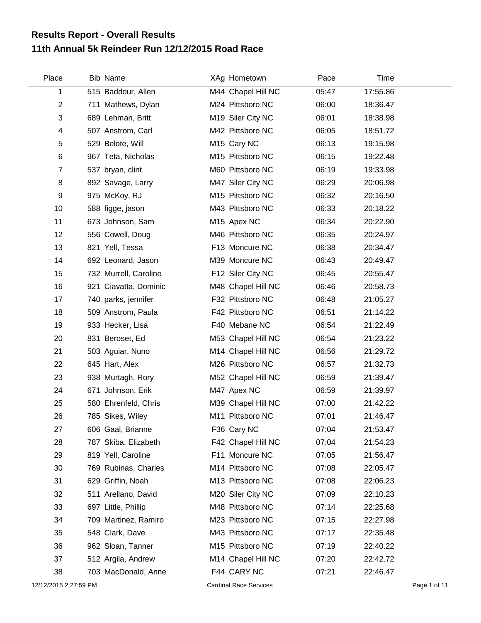## **11th Annual 5k Reindeer Run 12/12/2015 Road Race Results Report - Overall Results**

| Place                 | <b>Bib Name</b>       | XAg Hometown                  | Pace  | Time     |              |
|-----------------------|-----------------------|-------------------------------|-------|----------|--------------|
| 1                     | 515 Baddour, Allen    | M44 Chapel Hill NC            | 05:47 | 17:55.86 |              |
| $\overline{2}$        | 711 Mathews, Dylan    | M24 Pittsboro NC              | 06:00 | 18:36.47 |              |
| 3                     | 689 Lehman, Britt     | M19 Siler City NC             | 06:01 | 18:38.98 |              |
| 4                     | 507 Anstrom, Carl     | M42 Pittsboro NC              | 06:05 | 18:51.72 |              |
| 5                     | 529 Belote, Will      | M15 Cary NC                   | 06:13 | 19:15.98 |              |
| 6                     | 967 Teta, Nicholas    | M15 Pittsboro NC              | 06:15 | 19:22.48 |              |
| $\overline{7}$        | 537 bryan, clint      | M60 Pittsboro NC              | 06:19 | 19:33.98 |              |
| 8                     | 892 Savage, Larry     | M47 Siler City NC             | 06:29 | 20:06.98 |              |
| 9                     | 975 McKoy, RJ         | M15 Pittsboro NC              | 06:32 | 20:16.50 |              |
| 10                    | 588 figge, jason      | M43 Pittsboro NC              | 06:33 | 20:18.22 |              |
| 11                    | 673 Johnson, Sam      | M <sub>15</sub> Apex NC       | 06:34 | 20:22.90 |              |
| 12                    | 556 Cowell, Doug      | M46 Pittsboro NC              | 06:35 | 20:24.97 |              |
| 13                    | 821 Yell, Tessa       | F13 Moncure NC                | 06:38 | 20:34.47 |              |
| 14                    | 692 Leonard, Jason    | M39 Moncure NC                | 06:43 | 20:49.47 |              |
| 15                    | 732 Murrell, Caroline | F12 Siler City NC             | 06:45 | 20:55.47 |              |
| 16                    | 921 Ciavatta, Dominic | M48 Chapel Hill NC            | 06:46 | 20:58.73 |              |
| 17                    | 740 parks, jennifer   | F32 Pittsboro NC              | 06:48 | 21:05.27 |              |
| 18                    | 509 Anstrom, Paula    | F42 Pittsboro NC              | 06:51 | 21:14.22 |              |
| 19                    | 933 Hecker, Lisa      | F40 Mebane NC                 | 06:54 | 21:22.49 |              |
| 20                    | 831 Beroset, Ed       | M53 Chapel Hill NC            | 06:54 | 21:23.22 |              |
| 21                    | 503 Aguiar, Nuno      | M14 Chapel Hill NC            | 06:56 | 21:29.72 |              |
| 22                    | 645 Hart, Alex        | M26 Pittsboro NC              | 06:57 | 21:32.73 |              |
| 23                    | 938 Murtagh, Rory     | M52 Chapel Hill NC            | 06:59 | 21:39.47 |              |
| 24                    | 671 Johnson, Erik     | M47 Apex NC                   | 06:59 | 21:39.97 |              |
| 25                    | 580 Ehrenfeld, Chris  | M39 Chapel Hill NC            | 07:00 | 21:42.22 |              |
| 26                    | 785 Sikes, Wiley      | M11 Pittsboro NC              | 07:01 | 21:46.47 |              |
| 27                    | 606 Gaal, Brianne     | F36 Cary NC                   | 07:04 | 21:53.47 |              |
| 28                    | 787 Skiba, Elizabeth  | F42 Chapel Hill NC            | 07:04 | 21:54.23 |              |
| 29                    | 819 Yell, Caroline    | F11 Moncure NC                | 07:05 | 21:56.47 |              |
| 30                    | 769 Rubinas, Charles  | M14 Pittsboro NC              | 07:08 | 22:05.47 |              |
| 31                    | 629 Griffin, Noah     | M13 Pittsboro NC              | 07:08 | 22:06.23 |              |
| 32                    | 511 Arellano, David   | M20 Siler City NC             | 07:09 | 22:10.23 |              |
| 33                    | 697 Little, Phillip   | M48 Pittsboro NC              | 07:14 | 22:25.68 |              |
| 34                    | 709 Martinez, Ramiro  | M23 Pittsboro NC              | 07:15 | 22:27.98 |              |
| 35                    | 548 Clark, Dave       | M43 Pittsboro NC              | 07:17 | 22:35.48 |              |
| 36                    | 962 Sloan, Tanner     | M15 Pittsboro NC              | 07:19 | 22:40.22 |              |
| 37                    | 512 Argila, Andrew    | M14 Chapel Hill NC            | 07:20 | 22:42.72 |              |
| 38                    | 703 MacDonald, Anne   | F44 CARY NC                   | 07:21 | 22:46.47 |              |
| 12/12/2015 2:27:59 PM |                       | <b>Cardinal Race Services</b> |       |          | Page 1 of 11 |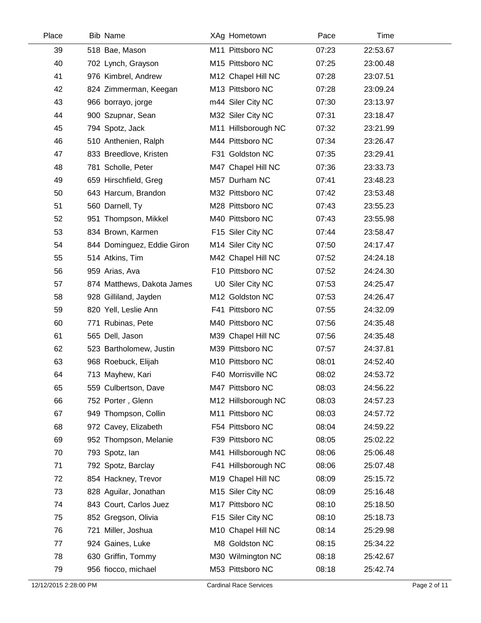| Place | <b>Bib Name</b>            | XAg Hometown        | Pace  | Time     |
|-------|----------------------------|---------------------|-------|----------|
| 39    | 518 Bae, Mason             | M11 Pittsboro NC    | 07:23 | 22:53.67 |
| 40    | 702 Lynch, Grayson         | M15 Pittsboro NC    | 07:25 | 23:00.48 |
| 41    | 976 Kimbrel, Andrew        | M12 Chapel Hill NC  | 07:28 | 23:07.51 |
| 42    | 824 Zimmerman, Keegan      | M13 Pittsboro NC    | 07:28 | 23:09.24 |
| 43    | 966 borrayo, jorge         | m44 Siler City NC   | 07:30 | 23:13.97 |
| 44    | 900 Szupnar, Sean          | M32 Siler City NC   | 07:31 | 23:18.47 |
| 45    | 794 Spotz, Jack            | M11 Hillsborough NC | 07:32 | 23:21.99 |
| 46    | 510 Anthenien, Ralph       | M44 Pittsboro NC    | 07:34 | 23:26.47 |
| 47    | 833 Breedlove, Kristen     | F31 Goldston NC     | 07:35 | 23:29.41 |
| 48    | 781 Scholle, Peter         | M47 Chapel Hill NC  | 07:36 | 23:33.73 |
| 49    | 659 Hirschfield, Greg      | M57 Durham NC       | 07:41 | 23:48.23 |
| 50    | 643 Harcum, Brandon        | M32 Pittsboro NC    | 07:42 | 23:53.48 |
| 51    | 560 Darnell, Ty            | M28 Pittsboro NC    | 07:43 | 23:55.23 |
| 52    | 951 Thompson, Mikkel       | M40 Pittsboro NC    | 07:43 | 23:55.98 |
| 53    | 834 Brown, Karmen          | F15 Siler City NC   | 07:44 | 23:58.47 |
| 54    | 844 Dominguez, Eddie Giron | M14 Siler City NC   | 07:50 | 24:17.47 |
| 55    | 514 Atkins, Tim            | M42 Chapel Hill NC  | 07:52 | 24:24.18 |
| 56    | 959 Arias, Ava             | F10 Pittsboro NC    | 07:52 | 24:24.30 |
| 57    | 874 Matthews, Dakota James | U0 Siler City NC    | 07:53 | 24:25.47 |
| 58    | 928 Gilliland, Jayden      | M12 Goldston NC     | 07:53 | 24:26.47 |
| 59    | 820 Yell, Leslie Ann       | F41 Pittsboro NC    | 07:55 | 24:32.09 |
| 60    | 771 Rubinas, Pete          | M40 Pittsboro NC    | 07:56 | 24:35.48 |
| 61    | 565 Dell, Jason            | M39 Chapel Hill NC  | 07:56 | 24:35.48 |
| 62    | 523 Bartholomew, Justin    | M39 Pittsboro NC    | 07:57 | 24:37.81 |
| 63    | 968 Roebuck, Elijah        | M10 Pittsboro NC    | 08:01 | 24:52.40 |
| 64    | 713 Mayhew, Kari           | F40 Morrisville NC  | 08:02 | 24:53.72 |
| 65    | 559 Culbertson, Dave       | M47 Pittsboro NC    | 08:03 | 24:56.22 |
| 66    | 752 Porter, Glenn          | M12 Hillsborough NC | 08:03 | 24:57.23 |
| 67    | 949 Thompson, Collin       | M11 Pittsboro NC    | 08:03 | 24:57.72 |
| 68    | 972 Cavey, Elizabeth       | F54 Pittsboro NC    | 08:04 | 24:59.22 |
| 69    | 952 Thompson, Melanie      | F39 Pittsboro NC    | 08:05 | 25:02.22 |
| 70    | 793 Spotz, lan             | M41 Hillsborough NC | 08:06 | 25:06.48 |
| 71    | 792 Spotz, Barclay         | F41 Hillsborough NC | 08:06 | 25:07.48 |
| 72    | 854 Hackney, Trevor        | M19 Chapel Hill NC  | 08:09 | 25:15.72 |
| 73    | 828 Aguilar, Jonathan      | M15 Siler City NC   | 08:09 | 25:16.48 |
| 74    | 843 Court, Carlos Juez     | M17 Pittsboro NC    | 08:10 | 25:18.50 |
| 75    | 852 Gregson, Olivia        | F15 Siler City NC   | 08:10 | 25:18.73 |
| 76    | 721 Miller, Joshua         | M10 Chapel Hill NC  | 08:14 | 25:29.98 |
| 77    | 924 Gaines, Luke           | M8 Goldston NC      | 08:15 | 25:34.22 |
| 78    | 630 Griffin, Tommy         | M30 Wilmington NC   | 08:18 | 25:42.67 |
| 79    | 956 fiocco, michael        | M53 Pittsboro NC    | 08:18 | 25:42.74 |
|       |                            |                     |       |          |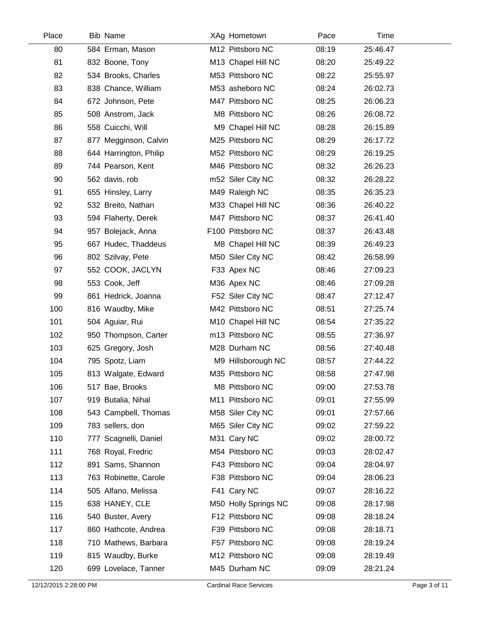| Place | <b>Bib Name</b>        | XAg Hometown         | Pace  | Time     |  |
|-------|------------------------|----------------------|-------|----------|--|
| 80    | 584 Erman, Mason       | M12 Pittsboro NC     | 08:19 | 25:46.47 |  |
| 81    | 832 Boone, Tony        | M13 Chapel Hill NC   | 08:20 | 25:49.22 |  |
| 82    | 534 Brooks, Charles    | M53 Pittsboro NC     | 08:22 | 25:55.97 |  |
| 83    | 838 Chance, William    | M53 asheboro NC      | 08:24 | 26:02.73 |  |
| 84    | 672 Johnson, Pete      | M47 Pittsboro NC     | 08:25 | 26:06.23 |  |
| 85    | 508 Anstrom, Jack      | M8 Pittsboro NC      | 08:26 | 26:08.72 |  |
| 86    | 558 Cuicchi, Will      | M9 Chapel Hill NC    | 08:28 | 26:15.89 |  |
| 87    | 877 Megginson, Calvin  | M25 Pittsboro NC     | 08:29 | 26:17.72 |  |
| 88    | 644 Harrington, Philip | M52 Pittsboro NC     | 08:29 | 26:19.25 |  |
| 89    | 744 Pearson, Kent      | M46 Pittsboro NC     | 08:32 | 26:26.23 |  |
| 90    | 562 davis, rob         | m52 Siler City NC    | 08:32 | 26:28.22 |  |
| 91    | 655 Hinsley, Larry     | M49 Raleigh NC       | 08:35 | 26:35.23 |  |
| 92    | 532 Breito, Nathan     | M33 Chapel Hill NC   | 08:36 | 26:40.22 |  |
| 93    | 594 Flaherty, Derek    | M47 Pittsboro NC     | 08:37 | 26:41.40 |  |
| 94    | 957 Bolejack, Anna     | F100 Pittsboro NC    | 08:37 | 26:43.48 |  |
| 95    | 667 Hudec, Thaddeus    | M8 Chapel Hill NC    | 08:39 | 26:49.23 |  |
| 96    | 802 Szilvay, Pete      | M50 Siler City NC    | 08:42 | 26:58.99 |  |
| 97    | 552 COOK, JACLYN       | F33 Apex NC          | 08:46 | 27:09.23 |  |
| 98    | 553 Cook, Jeff         | M36 Apex NC          | 08:46 | 27:09.28 |  |
| 99    | 861 Hedrick, Joanna    | F52 Siler City NC    | 08:47 | 27:12.47 |  |
| 100   | 816 Waudby, Mike       | M42 Pittsboro NC     | 08:51 | 27:25.74 |  |
| 101   | 504 Aguiar, Rui        | M10 Chapel Hill NC   | 08:54 | 27:35.22 |  |
| 102   | 950 Thompson, Carter   | m13 Pittsboro NC     | 08:55 | 27:36.97 |  |
| 103   | 625 Gregory, Josh      | M28 Durham NC        | 08:56 | 27:40.48 |  |
| 104   | 795 Spotz, Liam        | M9 Hillsborough NC   | 08:57 | 27:44.22 |  |
| 105   | 813 Walgate, Edward    | M35 Pittsboro NC     | 08:58 | 27:47.98 |  |
| 106   | 517 Bae, Brooks        | M8 Pittsboro NC      | 09:00 | 27:53.78 |  |
| 107   | 919 Butalia, Nihal     | M11 Pittsboro NC     | 09:01 | 27:55.99 |  |
| 108   | 543 Campbell, Thomas   | M58 Siler City NC    | 09:01 | 27:57.66 |  |
| 109   | 783 sellers, don       | M65 Siler City NC    | 09:02 | 27:59.22 |  |
| 110   | 777 Scagnelli, Daniel  | M31 Cary NC          | 09:02 | 28:00.72 |  |
| 111   | 768 Royal, Fredric     | M54 Pittsboro NC     | 09:03 | 28:02.47 |  |
| 112   | 891 Sams, Shannon      | F43 Pittsboro NC     | 09:04 | 28:04.97 |  |
| 113   | 763 Robinette, Carole  | F38 Pittsboro NC     | 09:04 | 28:06.23 |  |
| 114   | 505 Alfano, Melissa    | F41 Cary NC          | 09:07 | 28:16.22 |  |
| 115   | 638 HANEY, CLE         | M50 Holly Springs NC | 09:08 | 28:17.98 |  |
| 116   | 540 Buster, Avery      | F12 Pittsboro NC     | 09:08 | 28:18.24 |  |
| 117   | 860 Hathcote, Andrea   | F39 Pittsboro NC     | 09:08 | 28:18.71 |  |
| 118   | 710 Mathews, Barbara   | F57 Pittsboro NC     | 09:08 | 28:19.24 |  |
| 119   | 815 Waudby, Burke      | M12 Pittsboro NC     | 09:08 | 28:19.49 |  |
| 120   | 699 Lovelace, Tanner   | M45 Durham NC        | 09:09 | 28:21.24 |  |
|       |                        |                      |       |          |  |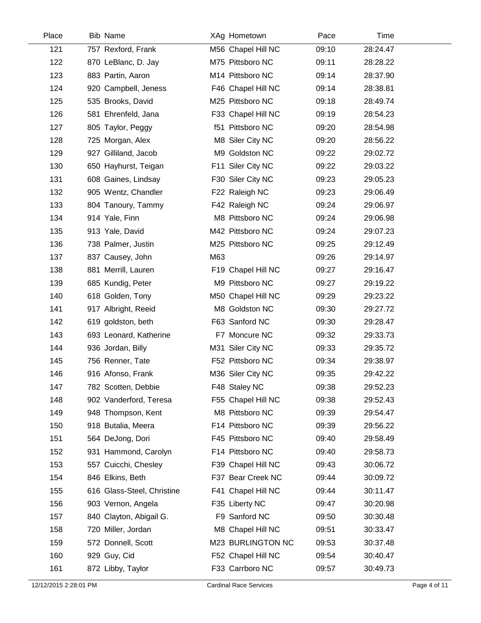| Place | <b>Bib Name</b>            |     | XAg Hometown       | Pace  | Time     |
|-------|----------------------------|-----|--------------------|-------|----------|
| 121   | 757 Rexford, Frank         |     | M56 Chapel Hill NC | 09:10 | 28:24.47 |
| 122   | 870 LeBlanc, D. Jay        |     | M75 Pittsboro NC   | 09:11 | 28:28.22 |
| 123   | 883 Partin, Aaron          |     | M14 Pittsboro NC   | 09:14 | 28:37.90 |
| 124   | 920 Campbell, Jeness       |     | F46 Chapel Hill NC | 09:14 | 28:38.81 |
| 125   | 535 Brooks, David          |     | M25 Pittsboro NC   | 09:18 | 28:49.74 |
| 126   | 581 Ehrenfeld, Jana        |     | F33 Chapel Hill NC | 09:19 | 28:54.23 |
| 127   | 805 Taylor, Peggy          |     | f51 Pittsboro NC   | 09:20 | 28:54.98 |
| 128   | 725 Morgan, Alex           |     | M8 Siler City NC   | 09:20 | 28:56.22 |
| 129   | 927 Gilliland, Jacob       |     | M9 Goldston NC     | 09:22 | 29:02.72 |
| 130   | 650 Hayhurst, Teigan       |     | F11 Siler City NC  | 09:22 | 29:03.22 |
| 131   | 608 Gaines, Lindsay        |     | F30 Siler City NC  | 09:23 | 29:05.23 |
| 132   | 905 Wentz, Chandler        |     | F22 Raleigh NC     | 09:23 | 29:06.49 |
| 133   | 804 Tanoury, Tammy         |     | F42 Raleigh NC     | 09:24 | 29:06.97 |
| 134   | 914 Yale, Finn             |     | M8 Pittsboro NC    | 09:24 | 29:06.98 |
| 135   | 913 Yale, David            |     | M42 Pittsboro NC   | 09:24 | 29:07.23 |
| 136   | 738 Palmer, Justin         |     | M25 Pittsboro NC   | 09:25 | 29:12.49 |
| 137   | 837 Causey, John           | M63 |                    | 09:26 | 29:14.97 |
| 138   | 881 Merrill, Lauren        |     | F19 Chapel Hill NC | 09:27 | 29:16.47 |
| 139   | 685 Kundig, Peter          |     | M9 Pittsboro NC    | 09:27 | 29:19.22 |
| 140   | 618 Golden, Tony           |     | M50 Chapel Hill NC | 09:29 | 29:23.22 |
| 141   | 917 Albright, Reeid        |     | M8 Goldston NC     | 09:30 | 29:27.72 |
| 142   | 619 goldston, beth         |     | F63 Sanford NC     | 09:30 | 29:28.47 |
| 143   | 693 Leonard, Katherine     |     | F7 Moncure NC      | 09:32 | 29:33.73 |
| 144   | 936 Jordan, Billy          |     | M31 Siler City NC  | 09:33 | 29:35.72 |
| 145   | 756 Renner, Tate           |     | F52 Pittsboro NC   | 09:34 | 29:38.97 |
| 146   | 916 Afonso, Frank          |     | M36 Siler City NC  | 09:35 | 29:42.22 |
| 147   | 782 Scotten, Debbie        |     | F48 Staley NC      | 09:38 | 29:52.23 |
| 148   | 902 Vanderford, Teresa     |     | F55 Chapel Hill NC | 09:38 | 29:52.43 |
| 149   | 948 Thompson, Kent         |     | M8 Pittsboro NC    | 09:39 | 29:54.47 |
| 150   | 918 Butalia, Meera         |     | F14 Pittsboro NC   | 09:39 | 29:56.22 |
| 151   | 564 DeJong, Dori           |     | F45 Pittsboro NC   | 09:40 | 29:58.49 |
| 152   | 931 Hammond, Carolyn       |     | F14 Pittsboro NC   | 09:40 | 29:58.73 |
| 153   | 557 Cuicchi, Chesley       |     | F39 Chapel Hill NC | 09:43 | 30:06.72 |
| 154   | 846 Elkins, Beth           |     | F37 Bear Creek NC  | 09:44 | 30:09.72 |
| 155   | 616 Glass-Steel, Christine |     | F41 Chapel Hill NC | 09:44 | 30:11.47 |
| 156   | 903 Vernon, Angela         |     | F35 Liberty NC     | 09:47 | 30:20.98 |
| 157   | 840 Clayton, Abigail G.    |     | F9 Sanford NC      | 09:50 | 30:30.48 |
| 158   | 720 Miller, Jordan         |     | M8 Chapel Hill NC  | 09:51 | 30:33.47 |
| 159   | 572 Donnell, Scott         |     | M23 BURLINGTON NC  | 09:53 | 30:37.48 |
| 160   | 929 Guy, Cid               |     | F52 Chapel Hill NC | 09:54 | 30:40.47 |
| 161   | 872 Libby, Taylor          |     | F33 Carrboro NC    | 09:57 | 30:49.73 |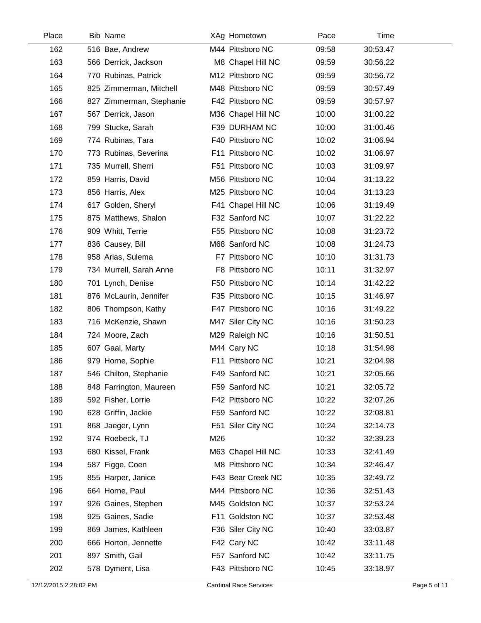| Place | <b>Bib Name</b>          | XAg Hometown       | Pace  | Time     |
|-------|--------------------------|--------------------|-------|----------|
| 162   | 516 Bae, Andrew          | M44 Pittsboro NC   | 09:58 | 30:53.47 |
| 163   | 566 Derrick, Jackson     | M8 Chapel Hill NC  | 09:59 | 30:56.22 |
| 164   | 770 Rubinas, Patrick     | M12 Pittsboro NC   | 09:59 | 30:56.72 |
| 165   | 825 Zimmerman, Mitchell  | M48 Pittsboro NC   | 09:59 | 30:57.49 |
| 166   | 827 Zimmerman, Stephanie | F42 Pittsboro NC   | 09:59 | 30:57.97 |
| 167   | 567 Derrick, Jason       | M36 Chapel Hill NC | 10:00 | 31:00.22 |
| 168   | 799 Stucke, Sarah        | F39 DURHAM NC      | 10:00 | 31:00.46 |
| 169   | 774 Rubinas, Tara        | F40 Pittsboro NC   | 10:02 | 31:06.94 |
| 170   | 773 Rubinas, Severina    | F11 Pittsboro NC   | 10:02 | 31:06.97 |
| 171   | 735 Murrell, Sherri      | F51 Pittsboro NC   | 10:03 | 31:09.97 |
| 172   | 859 Harris, David        | M56 Pittsboro NC   | 10:04 | 31:13.22 |
| 173   | 856 Harris, Alex         | M25 Pittsboro NC   | 10:04 | 31:13.23 |
| 174   | 617 Golden, Sheryl       | F41 Chapel Hill NC | 10:06 | 31:19.49 |
| 175   | 875 Matthews, Shalon     | F32 Sanford NC     | 10:07 | 31:22.22 |
| 176   | 909 Whitt, Terrie        | F55 Pittsboro NC   | 10:08 | 31:23.72 |
| 177   | 836 Causey, Bill         | M68 Sanford NC     | 10:08 | 31:24.73 |
| 178   | 958 Arias, Sulema        | F7 Pittsboro NC    | 10:10 | 31:31.73 |
| 179   | 734 Murrell, Sarah Anne  | F8 Pittsboro NC    | 10:11 | 31:32.97 |
| 180   | 701 Lynch, Denise        | F50 Pittsboro NC   | 10:14 | 31:42.22 |
| 181   | 876 McLaurin, Jennifer   | F35 Pittsboro NC   | 10:15 | 31:46.97 |
| 182   | 806 Thompson, Kathy      | F47 Pittsboro NC   | 10:16 | 31:49.22 |
| 183   | 716 McKenzie, Shawn      | M47 Siler City NC  | 10:16 | 31:50.23 |
| 184   | 724 Moore, Zach          | M29 Raleigh NC     | 10:16 | 31:50.51 |
| 185   | 607 Gaal, Marty          | M44 Cary NC        | 10:18 | 31:54.98 |
| 186   | 979 Horne, Sophie        | F11 Pittsboro NC   | 10:21 | 32:04.98 |
| 187   | 546 Chilton, Stephanie   | F49 Sanford NC     | 10:21 | 32:05.66 |
| 188   | 848 Farrington, Maureen  | F59 Sanford NC     | 10:21 | 32:05.72 |
| 189   | 592 Fisher, Lorrie       | F42 Pittsboro NC   | 10:22 | 32:07.26 |
| 190   | 628 Griffin, Jackie      | F59 Sanford NC     | 10:22 | 32:08.81 |
| 191   | 868 Jaeger, Lynn         | F51 Siler City NC  | 10:24 | 32:14.73 |
| 192   | 974 Roebeck, TJ          | M26                | 10:32 | 32:39.23 |
| 193   | 680 Kissel, Frank        | M63 Chapel Hill NC | 10:33 | 32:41.49 |
| 194   | 587 Figge, Coen          | M8 Pittsboro NC    | 10:34 | 32:46.47 |
| 195   | 855 Harper, Janice       | F43 Bear Creek NC  | 10:35 | 32:49.72 |
| 196   | 664 Horne, Paul          | M44 Pittsboro NC   | 10:36 | 32:51.43 |
| 197   | 926 Gaines, Stephen      | M45 Goldston NC    | 10:37 | 32:53.24 |
| 198   | 925 Gaines, Sadie        | F11 Goldston NC    | 10:37 | 32:53.48 |
| 199   | 869 James, Kathleen      | F36 Siler City NC  | 10:40 | 33:03.87 |
| 200   | 666 Horton, Jennette     | F42 Cary NC        | 10:42 | 33:11.48 |
| 201   | 897 Smith, Gail          | F57 Sanford NC     | 10:42 | 33:11.75 |
| 202   | 578 Dyment, Lisa         | F43 Pittsboro NC   | 10:45 | 33:18.97 |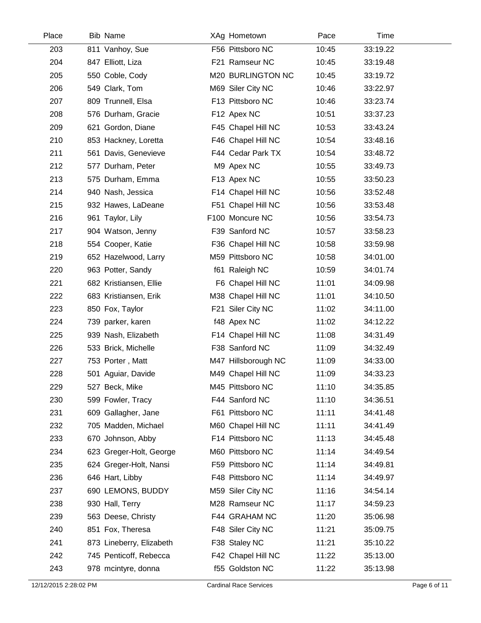| Place | <b>Bib Name</b>          | XAg Hometown        | Pace  | Time     |  |
|-------|--------------------------|---------------------|-------|----------|--|
| 203   | 811 Vanhoy, Sue          | F56 Pittsboro NC    | 10:45 | 33:19.22 |  |
| 204   | 847 Elliott, Liza        | F21 Ramseur NC      | 10:45 | 33:19.48 |  |
| 205   | 550 Coble, Cody          | M20 BURLINGTON NC   | 10:45 | 33:19.72 |  |
| 206   | 549 Clark, Tom           | M69 Siler City NC   | 10:46 | 33:22.97 |  |
| 207   | 809 Trunnell, Elsa       | F13 Pittsboro NC    | 10:46 | 33:23.74 |  |
| 208   | 576 Durham, Gracie       | F12 Apex NC         | 10:51 | 33:37.23 |  |
| 209   | 621 Gordon, Diane        | F45 Chapel Hill NC  | 10:53 | 33:43.24 |  |
| 210   | 853 Hackney, Loretta     | F46 Chapel Hill NC  | 10:54 | 33:48.16 |  |
| 211   | 561 Davis, Genevieve     | F44 Cedar Park TX   | 10:54 | 33:48.72 |  |
| 212   | 577 Durham, Peter        | M9 Apex NC          | 10:55 | 33:49.73 |  |
| 213   | 575 Durham, Emma         | F13 Apex NC         | 10:55 | 33:50.23 |  |
| 214   | 940 Nash, Jessica        | F14 Chapel Hill NC  | 10:56 | 33:52.48 |  |
| 215   | 932 Hawes, LaDeane       | F51 Chapel Hill NC  | 10:56 | 33:53.48 |  |
| 216   | 961 Taylor, Lily         | F100 Moncure NC     | 10:56 | 33:54.73 |  |
| 217   | 904 Watson, Jenny        | F39 Sanford NC      | 10:57 | 33:58.23 |  |
| 218   | 554 Cooper, Katie        | F36 Chapel Hill NC  | 10:58 | 33:59.98 |  |
| 219   | 652 Hazelwood, Larry     | M59 Pittsboro NC    | 10:58 | 34:01.00 |  |
| 220   | 963 Potter, Sandy        | f61 Raleigh NC      | 10:59 | 34:01.74 |  |
| 221   | 682 Kristiansen, Ellie   | F6 Chapel Hill NC   | 11:01 | 34:09.98 |  |
| 222   | 683 Kristiansen, Erik    | M38 Chapel Hill NC  | 11:01 | 34:10.50 |  |
| 223   | 850 Fox, Taylor          | F21 Siler City NC   | 11:02 | 34:11.00 |  |
| 224   | 739 parker, karen        | f48 Apex NC         | 11:02 | 34:12.22 |  |
| 225   | 939 Nash, Elizabeth      | F14 Chapel Hill NC  | 11:08 | 34:31.49 |  |
| 226   | 533 Brick, Michelle      | F38 Sanford NC      | 11:09 | 34:32.49 |  |
| 227   | 753 Porter, Matt         | M47 Hillsborough NC | 11:09 | 34:33.00 |  |
| 228   | 501 Aguiar, Davide       | M49 Chapel Hill NC  | 11:09 | 34:33.23 |  |
| 229   | 527 Beck, Mike           | M45 Pittsboro NC    | 11:10 | 34:35.85 |  |
| 230   | 599 Fowler, Tracy        | F44 Sanford NC      | 11:10 | 34:36.51 |  |
| 231   | 609 Gallagher, Jane      | F61 Pittsboro NC    | 11:11 | 34:41.48 |  |
| 232   | 705 Madden, Michael      | M60 Chapel Hill NC  | 11:11 | 34:41.49 |  |
| 233   | 670 Johnson, Abby        | F14 Pittsboro NC    | 11:13 | 34:45.48 |  |
| 234   | 623 Greger-Holt, George  | M60 Pittsboro NC    | 11:14 | 34:49.54 |  |
| 235   | 624 Greger-Holt, Nansi   | F59 Pittsboro NC    | 11:14 | 34:49.81 |  |
| 236   | 646 Hart, Libby          | F48 Pittsboro NC    | 11:14 | 34:49.97 |  |
| 237   | 690 LEMONS, BUDDY        | M59 Siler City NC   | 11:16 | 34:54.14 |  |
| 238   | 930 Hall, Terry          | M28 Ramseur NC      | 11:17 | 34:59.23 |  |
| 239   | 563 Deese, Christy       | F44 GRAHAM NC       | 11:20 | 35:06.98 |  |
| 240   | 851 Fox, Theresa         | F48 Siler City NC   | 11:21 | 35:09.75 |  |
| 241   | 873 Lineberry, Elizabeth | F38 Staley NC       | 11:21 | 35:10.22 |  |
| 242   | 745 Penticoff, Rebecca   | F42 Chapel Hill NC  | 11:22 | 35:13.00 |  |
| 243   | 978 mcintyre, donna      | f55 Goldston NC     | 11:22 | 35:13.98 |  |
|       |                          |                     |       |          |  |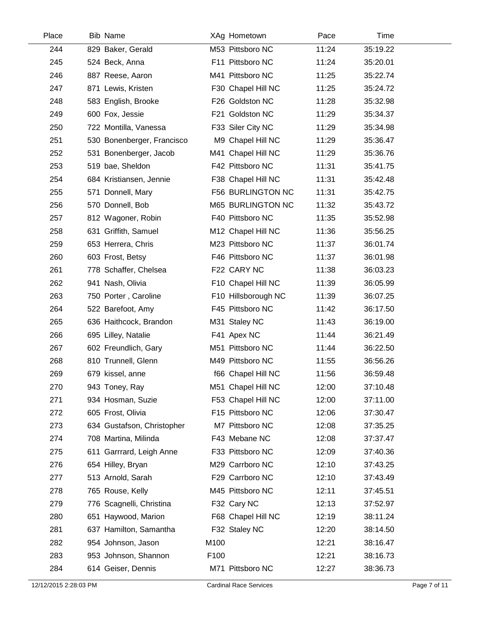| Place | <b>Bib Name</b>            | XAg Hometown        | Pace  | Time     |  |
|-------|----------------------------|---------------------|-------|----------|--|
| 244   | 829 Baker, Gerald          | M53 Pittsboro NC    | 11:24 | 35:19.22 |  |
| 245   | 524 Beck, Anna             | F11 Pittsboro NC    | 11:24 | 35:20.01 |  |
| 246   | 887 Reese, Aaron           | M41 Pittsboro NC    | 11:25 | 35:22.74 |  |
| 247   | 871 Lewis, Kristen         | F30 Chapel Hill NC  | 11:25 | 35:24.72 |  |
| 248   | 583 English, Brooke        | F26 Goldston NC     | 11:28 | 35:32.98 |  |
| 249   | 600 Fox, Jessie            | F21 Goldston NC     | 11:29 | 35:34.37 |  |
| 250   | 722 Montilla, Vanessa      | F33 Siler City NC   | 11:29 | 35:34.98 |  |
| 251   | 530 Bonenberger, Francisco | M9 Chapel Hill NC   | 11:29 | 35:36.47 |  |
| 252   | 531 Bonenberger, Jacob     | M41 Chapel Hill NC  | 11:29 | 35:36.76 |  |
| 253   | 519 bae, Sheldon           | F42 Pittsboro NC    | 11:31 | 35:41.75 |  |
| 254   | 684 Kristiansen, Jennie    | F38 Chapel Hill NC  | 11:31 | 35:42.48 |  |
| 255   | 571 Donnell, Mary          | F56 BURLINGTON NC   | 11:31 | 35:42.75 |  |
| 256   | 570 Donnell, Bob           | M65 BURLINGTON NC   | 11:32 | 35:43.72 |  |
| 257   | 812 Wagoner, Robin         | F40 Pittsboro NC    | 11:35 | 35:52.98 |  |
| 258   | 631 Griffith, Samuel       | M12 Chapel Hill NC  | 11:36 | 35:56.25 |  |
| 259   | 653 Herrera, Chris         | M23 Pittsboro NC    | 11:37 | 36:01.74 |  |
| 260   | 603 Frost, Betsy           | F46 Pittsboro NC    | 11:37 | 36:01.98 |  |
| 261   | 778 Schaffer, Chelsea      | F22 CARY NC         | 11:38 | 36:03.23 |  |
| 262   | 941 Nash, Olivia           | F10 Chapel Hill NC  | 11:39 | 36:05.99 |  |
| 263   | 750 Porter, Caroline       | F10 Hillsborough NC | 11:39 | 36:07.25 |  |
| 264   | 522 Barefoot, Amy          | F45 Pittsboro NC    | 11:42 | 36:17.50 |  |
| 265   | 636 Haithcock, Brandon     | M31 Staley NC       | 11:43 | 36:19.00 |  |
| 266   | 695 Lilley, Natalie        | F41 Apex NC         | 11:44 | 36:21.49 |  |
| 267   | 602 Freundlich, Gary       | M51 Pittsboro NC    | 11:44 | 36:22.50 |  |
| 268   | 810 Trunnell, Glenn        | M49 Pittsboro NC    | 11:55 | 36:56.26 |  |
| 269   | 679 kissel, anne           | f66 Chapel Hill NC  | 11:56 | 36:59.48 |  |
| 270   | 943 Toney, Ray             | M51 Chapel Hill NC  | 12:00 | 37:10.48 |  |
| 271   | 934 Hosman, Suzie          | F53 Chapel Hill NC  | 12:00 | 37:11.00 |  |
| 272   | 605 Frost, Olivia          | F15 Pittsboro NC    | 12:06 | 37:30.47 |  |
| 273   | 634 Gustafson, Christopher | M7 Pittsboro NC     | 12:08 | 37:35.25 |  |
| 274   | 708 Martina, Milinda       | F43 Mebane NC       | 12:08 | 37:37.47 |  |
| 275   | 611 Garrrard, Leigh Anne   | F33 Pittsboro NC    | 12:09 | 37:40.36 |  |
| 276   | 654 Hilley, Bryan          | M29 Carrboro NC     | 12:10 | 37:43.25 |  |
| 277   | 513 Arnold, Sarah          | F29 Carrboro NC     | 12:10 | 37:43.49 |  |
| 278   | 765 Rouse, Kelly           | M45 Pittsboro NC    | 12:11 | 37:45.51 |  |
| 279   | 776 Scagnelli, Christina   | F32 Cary NC         | 12:13 | 37:52.97 |  |
| 280   | 651 Haywood, Marion        | F68 Chapel Hill NC  | 12:19 | 38:11.24 |  |
| 281   | 637 Hamilton, Samantha     | F32 Staley NC       | 12:20 | 38:14.50 |  |
| 282   | 954 Johnson, Jason         | M100                | 12:21 | 38:16.47 |  |
| 283   | 953 Johnson, Shannon       | F100                | 12:21 | 38:16.73 |  |
| 284   | 614 Geiser, Dennis         | M71 Pittsboro NC    | 12:27 | 38:36.73 |  |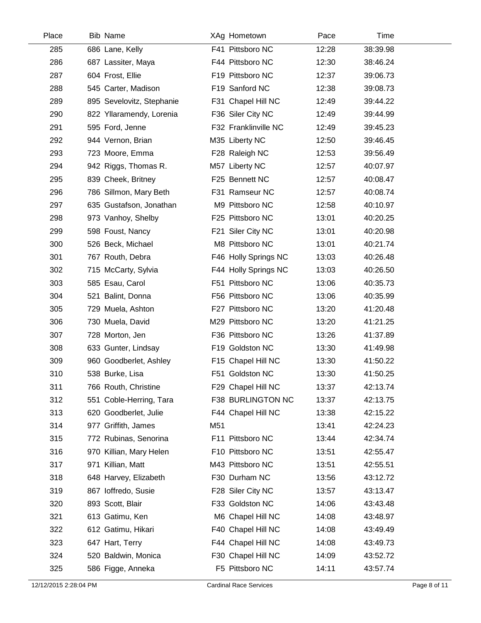| Place | <b>Bib Name</b>           |     | XAg Hometown         | Pace  | Time     |
|-------|---------------------------|-----|----------------------|-------|----------|
| 285   | 686 Lane, Kelly           |     | F41 Pittsboro NC     | 12:28 | 38:39.98 |
| 286   | 687 Lassiter, Maya        |     | F44 Pittsboro NC     | 12:30 | 38:46.24 |
| 287   | 604 Frost, Ellie          |     | F19 Pittsboro NC     | 12:37 | 39:06.73 |
| 288   | 545 Carter, Madison       |     | F19 Sanford NC       | 12:38 | 39:08.73 |
| 289   | 895 Sevelovitz, Stephanie |     | F31 Chapel Hill NC   | 12:49 | 39:44.22 |
| 290   | 822 Yllaramendy, Lorenia  |     | F36 Siler City NC    | 12:49 | 39:44.99 |
| 291   | 595 Ford, Jenne           |     | F32 Franklinville NC | 12:49 | 39:45.23 |
| 292   | 944 Vernon, Brian         |     | M35 Liberty NC       | 12:50 | 39:46.45 |
| 293   | 723 Moore, Emma           |     | F28 Raleigh NC       | 12:53 | 39:56.49 |
| 294   | 942 Riggs, Thomas R.      |     | M57 Liberty NC       | 12:57 | 40:07.97 |
| 295   | 839 Cheek, Britney        |     | F25 Bennett NC       | 12:57 | 40:08.47 |
| 296   | 786 Sillmon, Mary Beth    |     | F31 Ramseur NC       | 12:57 | 40:08.74 |
| 297   | 635 Gustafson, Jonathan   |     | M9 Pittsboro NC      | 12:58 | 40:10.97 |
| 298   | 973 Vanhoy, Shelby        |     | F25 Pittsboro NC     | 13:01 | 40:20.25 |
| 299   | 598 Foust, Nancy          |     | F21 Siler City NC    | 13:01 | 40:20.98 |
| 300   | 526 Beck, Michael         |     | M8 Pittsboro NC      | 13:01 | 40:21.74 |
| 301   | 767 Routh, Debra          |     | F46 Holly Springs NC | 13:03 | 40:26.48 |
| 302   | 715 McCarty, Sylvia       |     | F44 Holly Springs NC | 13:03 | 40:26.50 |
| 303   | 585 Esau, Carol           |     | F51 Pittsboro NC     | 13:06 | 40:35.73 |
| 304   | 521 Balint, Donna         |     | F56 Pittsboro NC     | 13:06 | 40:35.99 |
| 305   | 729 Muela, Ashton         |     | F27 Pittsboro NC     | 13:20 | 41:20.48 |
| 306   | 730 Muela, David          |     | M29 Pittsboro NC     | 13:20 | 41:21.25 |
| 307   | 728 Morton, Jen           |     | F36 Pittsboro NC     | 13:26 | 41:37.89 |
| 308   | 633 Gunter, Lindsay       |     | F19 Goldston NC      | 13:30 | 41:49.98 |
| 309   | 960 Goodberlet, Ashley    |     | F15 Chapel Hill NC   | 13:30 | 41:50.22 |
| 310   | 538 Burke, Lisa           |     | F51 Goldston NC      | 13:30 | 41:50.25 |
| 311   | 766 Routh, Christine      |     | F29 Chapel Hill NC   | 13:37 | 42:13.74 |
| 312   | 551 Coble-Herring, Tara   |     | F38 BURLINGTON NC    | 13:37 | 42:13.75 |
| 313   | 620 Goodberlet, Julie     |     | F44 Chapel Hill NC   | 13:38 | 42:15.22 |
| 314   | 977 Griffith, James       | M51 |                      | 13:41 | 42:24.23 |
| 315   | 772 Rubinas, Senorina     |     | F11 Pittsboro NC     | 13:44 | 42:34.74 |
| 316   | 970 Killian, Mary Helen   |     | F10 Pittsboro NC     | 13:51 | 42:55.47 |
| 317   | 971 Killian, Matt         |     | M43 Pittsboro NC     | 13:51 | 42:55.51 |
| 318   | 648 Harvey, Elizabeth     |     | F30 Durham NC        | 13:56 | 43:12.72 |
| 319   | 867 loffredo, Susie       |     | F28 Siler City NC    | 13:57 | 43:13.47 |
| 320   | 893 Scott, Blair          |     | F33 Goldston NC      | 14:06 | 43:43.48 |
| 321   | 613 Gatimu, Ken           |     | M6 Chapel Hill NC    | 14:08 | 43:48.97 |
| 322   | 612 Gatimu, Hikari        |     | F40 Chapel Hill NC   | 14:08 | 43:49.49 |
| 323   | 647 Hart, Terry           |     | F44 Chapel Hill NC   | 14:08 | 43:49.73 |
| 324   | 520 Baldwin, Monica       |     | F30 Chapel Hill NC   | 14:09 | 43:52.72 |
| 325   | 586 Figge, Anneka         |     | F5 Pittsboro NC      | 14:11 | 43:57.74 |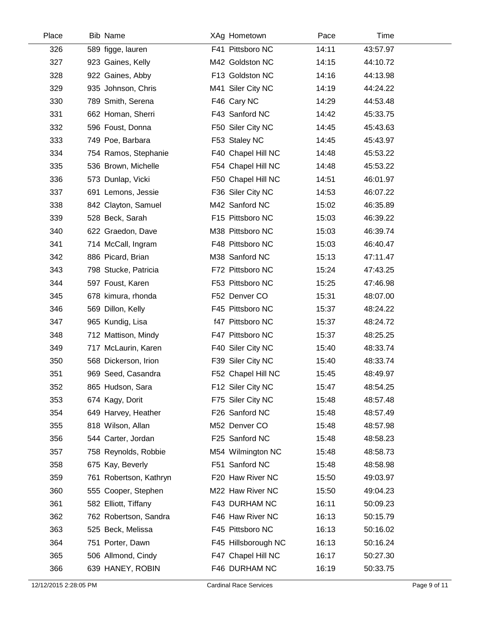| Place | <b>Bib Name</b>        | XAg Hometown        | Pace  | Time     |
|-------|------------------------|---------------------|-------|----------|
| 326   | 589 figge, lauren      | F41 Pittsboro NC    | 14:11 | 43:57.97 |
| 327   | 923 Gaines, Kelly      | M42 Goldston NC     | 14:15 | 44:10.72 |
| 328   | 922 Gaines, Abby       | F13 Goldston NC     | 14:16 | 44:13.98 |
| 329   | 935 Johnson, Chris     | M41 Siler City NC   | 14:19 | 44:24.22 |
| 330   | 789 Smith, Serena      | F46 Cary NC         | 14:29 | 44:53.48 |
| 331   | 662 Homan, Sherri      | F43 Sanford NC      | 14:42 | 45:33.75 |
| 332   | 596 Foust, Donna       | F50 Siler City NC   | 14:45 | 45:43.63 |
| 333   | 749 Poe, Barbara       | F53 Staley NC       | 14:45 | 45:43.97 |
| 334   | 754 Ramos, Stephanie   | F40 Chapel Hill NC  | 14:48 | 45:53.22 |
| 335   | 536 Brown, Michelle    | F54 Chapel Hill NC  | 14:48 | 45:53.22 |
| 336   | 573 Dunlap, Vicki      | F50 Chapel Hill NC  | 14:51 | 46:01.97 |
| 337   | 691 Lemons, Jessie     | F36 Siler City NC   | 14:53 | 46:07.22 |
| 338   | 842 Clayton, Samuel    | M42 Sanford NC      | 15:02 | 46:35.89 |
| 339   | 528 Beck, Sarah        | F15 Pittsboro NC    | 15:03 | 46:39.22 |
| 340   | 622 Graedon, Dave      | M38 Pittsboro NC    | 15:03 | 46:39.74 |
| 341   | 714 McCall, Ingram     | F48 Pittsboro NC    | 15:03 | 46:40.47 |
| 342   | 886 Picard, Brian      | M38 Sanford NC      | 15:13 | 47:11.47 |
| 343   | 798 Stucke, Patricia   | F72 Pittsboro NC    | 15:24 | 47:43.25 |
| 344   | 597 Foust, Karen       | F53 Pittsboro NC    | 15:25 | 47:46.98 |
| 345   | 678 kimura, rhonda     | F52 Denver CO       | 15:31 | 48:07.00 |
| 346   | 569 Dillon, Kelly      | F45 Pittsboro NC    | 15:37 | 48:24.22 |
| 347   | 965 Kundig, Lisa       | f47 Pittsboro NC    | 15:37 | 48:24.72 |
| 348   | 712 Mattison, Mindy    | F47 Pittsboro NC    | 15:37 | 48:25.25 |
| 349   | 717 McLaurin, Karen    | F40 Siler City NC   | 15:40 | 48:33.74 |
| 350   | 568 Dickerson, Irion   | F39 Siler City NC   | 15:40 | 48:33.74 |
| 351   | 969 Seed, Casandra     | F52 Chapel Hill NC  | 15:45 | 48:49.97 |
| 352   | 865 Hudson, Sara       | F12 Siler City NC   | 15:47 | 48:54.25 |
| 353   | 674 Kagy, Dorit        | F75 Siler City NC   | 15:48 | 48:57.48 |
| 354   | 649 Harvey, Heather    | F26 Sanford NC      | 15:48 | 48:57.49 |
| 355   | 818 Wilson, Allan      | M52 Denver CO       | 15:48 | 48:57.98 |
| 356   | 544 Carter, Jordan     | F25 Sanford NC      | 15:48 | 48:58.23 |
| 357   | 758 Reynolds, Robbie   | M54 Wilmington NC   | 15:48 | 48:58.73 |
| 358   | 675 Kay, Beverly       | F51 Sanford NC      | 15:48 | 48:58.98 |
| 359   | 761 Robertson, Kathryn | F20 Haw River NC    | 15:50 | 49:03.97 |
| 360   | 555 Cooper, Stephen    | M22 Haw River NC    | 15:50 | 49:04.23 |
| 361   | 582 Elliott, Tiffany   | F43 DURHAM NC       | 16:11 | 50:09.23 |
| 362   | 762 Robertson, Sandra  | F46 Haw River NC    | 16:13 | 50:15.79 |
| 363   | 525 Beck, Melissa      | F45 Pittsboro NC    | 16:13 | 50:16.02 |
| 364   | 751 Porter, Dawn       | F45 Hillsborough NC | 16:13 | 50:16.24 |
| 365   | 506 Allmond, Cindy     | F47 Chapel Hill NC  | 16:17 | 50:27.30 |
| 366   | 639 HANEY, ROBIN       | F46 DURHAM NC       | 16:19 | 50:33.75 |
|       |                        |                     |       |          |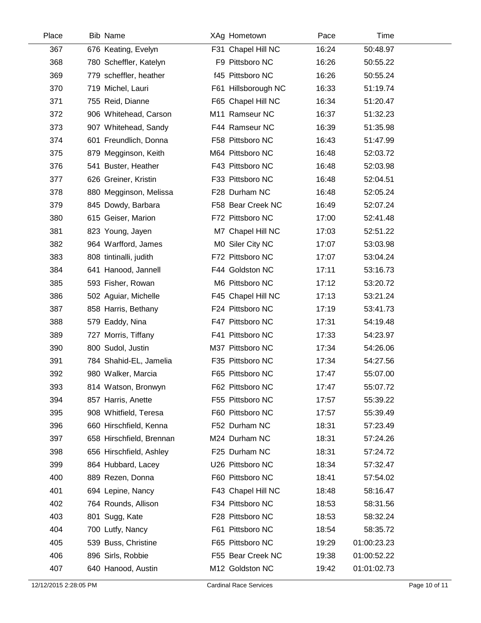| Place | <b>Bib Name</b>          | XAg Hometown        | Pace  | Time        |
|-------|--------------------------|---------------------|-------|-------------|
| 367   | 676 Keating, Evelyn      | F31 Chapel Hill NC  | 16:24 | 50:48.97    |
| 368   | 780 Scheffler, Katelyn   | F9 Pittsboro NC     | 16:26 | 50:55.22    |
| 369   | 779 scheffler, heather   | f45 Pittsboro NC    | 16:26 | 50:55.24    |
| 370   | 719 Michel, Lauri        | F61 Hillsborough NC | 16:33 | 51:19.74    |
| 371   | 755 Reid, Dianne         | F65 Chapel Hill NC  | 16:34 | 51:20.47    |
| 372   | 906 Whitehead, Carson    | M11 Ramseur NC      | 16:37 | 51:32.23    |
| 373   | 907 Whitehead, Sandy     | F44 Ramseur NC      | 16:39 | 51:35.98    |
| 374   | 601 Freundlich, Donna    | F58 Pittsboro NC    | 16:43 | 51:47.99    |
| 375   | 879 Megginson, Keith     | M64 Pittsboro NC    | 16:48 | 52:03.72    |
| 376   | 541 Buster, Heather      | F43 Pittsboro NC    | 16:48 | 52:03.98    |
| 377   | 626 Greiner, Kristin     | F33 Pittsboro NC    | 16:48 | 52:04.51    |
| 378   | 880 Megginson, Melissa   | F28 Durham NC       | 16:48 | 52:05.24    |
| 379   | 845 Dowdy, Barbara       | F58 Bear Creek NC   | 16:49 | 52:07.24    |
| 380   | 615 Geiser, Marion       | F72 Pittsboro NC    | 17:00 | 52:41.48    |
| 381   | 823 Young, Jayen         | M7 Chapel Hill NC   | 17:03 | 52:51.22    |
| 382   | 964 Warfford, James      | M0 Siler City NC    | 17:07 | 53:03.98    |
| 383   | 808 tintinalli, judith   | F72 Pittsboro NC    | 17:07 | 53:04.24    |
| 384   | 641 Hanood, Jannell      | F44 Goldston NC     | 17:11 | 53:16.73    |
| 385   | 593 Fisher, Rowan        | M6 Pittsboro NC     | 17:12 | 53:20.72    |
| 386   | 502 Aguiar, Michelle     | F45 Chapel Hill NC  | 17:13 | 53:21.24    |
| 387   | 858 Harris, Bethany      | F24 Pittsboro NC    | 17:19 | 53:41.73    |
| 388   | 579 Eaddy, Nina          | F47 Pittsboro NC    | 17:31 | 54:19.48    |
| 389   | 727 Morris, Tiffany      | F41 Pittsboro NC    | 17:33 | 54:23.97    |
| 390   | 800 Sudol, Justin        | M37 Pittsboro NC    | 17:34 | 54:26.06    |
| 391   | 784 Shahid-EL, Jamelia   | F35 Pittsboro NC    | 17:34 | 54:27.56    |
| 392   | 980 Walker, Marcia       | F65 Pittsboro NC    | 17:47 | 55:07.00    |
| 393   | 814 Watson, Bronwyn      | F62 Pittsboro NC    | 17:47 | 55:07.72    |
| 394   | 857 Harris, Anette       | F55 Pittsboro NC    | 17:57 | 55:39.22    |
| 395   | 908 Whitfield, Teresa    | F60 Pittsboro NC    | 17:57 | 55:39.49    |
| 396   | 660 Hirschfield, Kenna   | F52 Durham NC       | 18:31 | 57:23.49    |
| 397   | 658 Hirschfield, Brennan | M24 Durham NC       | 18:31 | 57:24.26    |
| 398   | 656 Hirschfield, Ashley  | F25 Durham NC       | 18:31 | 57:24.72    |
| 399   | 864 Hubbard, Lacey       | U26 Pittsboro NC    | 18:34 | 57:32.47    |
| 400   | 889 Rezen, Donna         | F60 Pittsboro NC    | 18:41 | 57:54.02    |
| 401   | 694 Lepine, Nancy        | F43 Chapel Hill NC  | 18:48 | 58:16.47    |
| 402   | 764 Rounds, Allison      | F34 Pittsboro NC    | 18:53 | 58:31.56    |
| 403   | 801 Sugg, Kate           | F28 Pittsboro NC    | 18:53 | 58:32.24    |
| 404   | 700 Lutfy, Nancy         | F61 Pittsboro NC    | 18:54 | 58:35.72    |
| 405   | 539 Buss, Christine      | F65 Pittsboro NC    | 19:29 | 01:00:23.23 |
| 406   | 896 Sirls, Robbie        | F55 Bear Creek NC   | 19:38 | 01:00:52.22 |
| 407   | 640 Hanood, Austin       | M12 Goldston NC     | 19:42 | 01:01:02.73 |
|       |                          |                     |       |             |